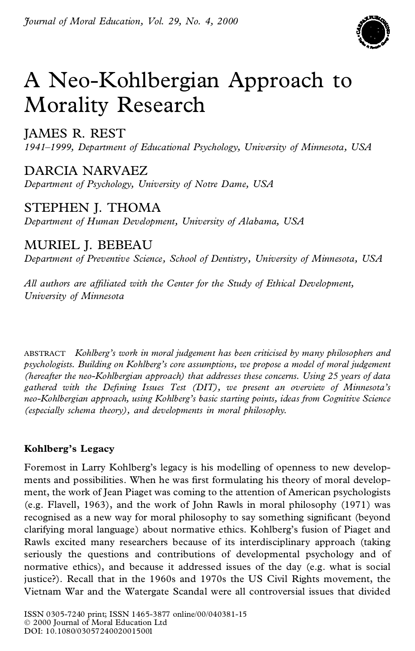

# A Neo-Kohlbergian Approach to Morality Research

JAMES R. REST *1941–1999, Department of Educational Psychology, University of Minnesota, USA*

DARCIA NARVAEZ *Department of Psychology, University of Notre Dame, USA*

STEPHEN J. THOMA *Department of Human Development, University of Alabama, USA*

# MURIEL J. BEBEAU

*Department of Preventive Science, School of Dentistry, University of Minnesota, USA*

*All authors are af liated with the Center for the Study of Ethical Development, University of Minnesota*

ABSTRACT *Kohlberg's work in moral judgement has been criticised by many philosophers and psychologists. Building on Kohlberg's core assumptions, we propose a model of moral judgement (hereafter the neo-Kohlbergian approach) that addresses these concerns. Using 25 years of data gathered with the De ning Issues Test (DIT), we present an overview of Minnesota's neo-Kohlbergian approach, using Kohlberg's basic starting points, ideas from Cognitive Science (especially schema theory), and developments in moral philosophy.*

## **Kohlberg's Legacy**

Foremost in Larry Kohlberg's legacy is his modelling of openness to new develop ments and possibilities. When he was first formulating his theory of moral development, the work of Jean Piaget was coming to the attention of American psychologists (e.g. Flavell, 1963), and the work of John Rawls in moral philosophy (1971) was recognised as a new way for moral philosophy to say something significant (beyond clarifying moral language) about normative ethics. Kohlberg's fusion of Piaget and Rawls excited many researchers because of its interdisciplinary approach (taking seriously the questions and contributions of developmental psychology and of normative ethics), and because it addressed issues of the day (e.g. what is social justice?). Recall that in the 1960s and 1970s the US Civil Rights movement, the Vietnam War and the Watergate Scandal were all controversial issues that divided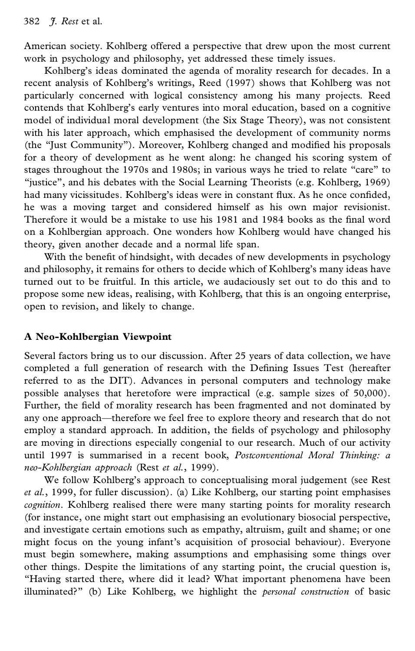American society. Kohlberg offered a perspective that drew upon the most current work in psychology and philosophy, yet addressed these timely issues.

Kohlberg's ideas dominated the agenda of morality research for decades. In a recent analysis of Kohlberg's writings, Reed (1997) shows that Kohlberg was not particularly concerned with logical consistency among his many projects. Reed contends that Kohlberg's early ventures into moral education, based on a cognitive model of individual moral development (the Six Stage Theory), was not consistent with his later approach, which emphasised the development of community norms (the "Just Community"). Moreover, Kohlberg changed and modified his proposals for a theory of development as he went along: he changed his scoring system of stages throughout the 1970s and 1980s; in various ways he tried to relate "care" to "justice", and his debates with the Social Learning Theorists (e.g. Kohlberg, 1969) had many vicissitudes. Kohlberg's ideas were in constant flux. As he once confided, he was a moving target and considered himself as his own major revisionist. Therefore it would be a mistake to use his 1981 and 1984 books as the final word on a Kohlbergian approach. One wonders how Kohlberg would have changed his theory, given another decade and a normal life span.

With the benefit of hindsight, with decades of new developments in psychology and philosophy, it remains for others to decide which of Kohlberg's many ideas have turned out to be fruitful. In this article, we audaciously set out to do this and to propose some new ideas, realising, with Kohlberg, that this is an ongoing enterprise, open to revision, and likely to change.

#### **A Neo-Kohlbergian Viewpoint**

Several factors bring us to our discussion. After 25 years of data collection, we have completed a full generation of research with the Defining Issues Test (hereafter referred to as the DIT). Advances in personal computers and technology make possible analyses that heretofore were impractical (e.g. sample sizes of 50,000). Further, the field of morality research has been fragmented and not dominated by any one approach—therefore we feel free to explore theory and research that do not employ a standard approach. In addition, the fields of psychology and philosophy are moving in directions especially congenial to our research. Much of our activity until 1997 is summarised in a recent book, *Postconventional Moral Thinking: a neo-Kohlbergian approach* (Rest *et al.*, 1999).

We follow Kohlberg's approach to conceptualising moral judgement (see Rest *et al.*, 1999, for fuller discussion). (a) Like Kohlberg, our starting point emphasises *cognition*. Kohlberg realised there were many starting points for morality research (for instance, one might start out emphasising an evolutionary biosocial perspective, and investigate certain emotions such as empathy, altruism, guilt and shame; or one might focus on the young infant's acquisition of prosocial behaviour). Everyone must begin somewhere, making assumptions and emphasising some things over other things. Despite the limitations of any starting point, the crucial question is, "Having started there, where did it lead? What important phenomena have been illuminated?" (b) Like Kohlberg, we highlight the *personal construction* of basic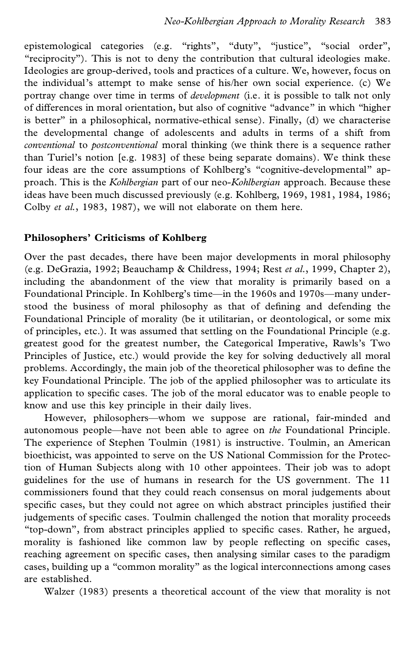epistemological categories (e.g. "rights", "duty", "justice", "social order", "reciprocity"). This is not to deny the contribution that cultural ideologies make. Ideologies are group-derived, tools and practices of a culture. We, however, focus on the individual's attempt to make sense of his/her own social experience. (c) We portray change over time in terms of *development* (i.e. it is possible to talk not only of differences in moral orientation, but also of cognitive "advance" in which "higher is better" in a philosophical, normative-ethical sense). Finally, (d) we characterise the developmental change of adolescents and adults in terms of a shift from *conventional* to *postconventional* moral thinking (we think there is a sequence rather than Turiel's notion [e.g. 1983] of these being separate domains). We think these four ideas are the core assumptions of Kohlberg's "cognitive-developmental" ap proach. This is the *Kohlbergian* part of our neo-*Kohlbergian* approach. Because these ideas have been much discussed previously (e.g. Kohlberg, 1969, 1981, 1984, 1986; Colby *et al.*, 1983, 1987), we will not elaborate on them here.

### **Philosophers' Criticisms of Kohlberg**

Over the past decades, there have been major developments in moral philosophy (e.g. DeGrazia, 1992; Beauchamp & Childress, 1994; Rest *et al.*, 1999, Chapter 2), including the abandonment of the view that morality is primarily based on a Foundational Principle. In Kohlberg's time—in the 1960s and 1970s—many understood the business of moral philosophy as that of defining and defending the Foundational Principle of morality (be it utilitarian, or deontological, or some mix of principles, etc.). It was assumed that settling on the Foundational Principle (e.g. greatest good for the greatest number, the Categorical Imperative, Rawls's Two Principles of Justice, etc.) would provide the key for solving deductively all moral problems. Accordingly, the main job of the theoretical philosopher was to define the key Foundational Principle. The job of the applied philosopher was to articulate its application to specific cases. The job of the moral educator was to enable people to know and use this key principle in their daily lives.

However, philosophers—whom we suppose are rational, fair-minded and autonomous people—have not been able to agree on *the* Foundational Principle. The experience of Stephen Toulmin (1981) is instructive. Toulmin, an American bioethicist, was appointed to serve on the US National Commission for the Protection of Human Subjects along with 10 other appointees. Their job was to adopt guidelines for the use of humans in research for the US government. The 11 commissioners found that they could reach consensus on moral judgements about specific cases, but they could not agree on which abstract principles justified their judgements of specific cases. Toulmin challenged the notion that morality proceeds "top-down", from abstract principles applied to specific cases. Rather, he argued, morality is fashioned like common law by people reflecting on specific cases, reaching agreement on specific cases, then analysing similar cases to the paradigm cases, building up a "common morality" as the logical interconnections among cases are established.

Walzer (1983) presents a theoretical account of the view that morality is not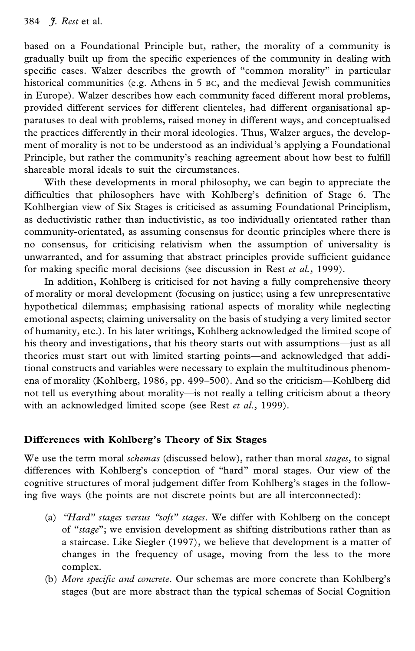based on a Foundational Principle but, rather, the morality of a community is gradually built up from the specific experiences of the community in dealing with specific cases. Walzer describes the growth of "common morality" in particular historical communities (e.g. Athens in 5 BC, and the medieval Jewish communities in Europe). Walzer describes how each community faced different moral problems, provided different services for different clienteles, had different organisational ap paratuses to deal with problems, raised money in different ways, and conceptualised the practices differently in their moral ideologies. Thus, Walzer argues, the develop ment of morality is not to be understood as an individual's applying a Foundational Principle, but rather the community's reaching agreement about how best to fulfill shareable moral ideals to suit the circumstances.

With these developments in moral philosophy, we can begin to appreciate the difficulties that philosophers have with Kohlberg's definition of Stage 6. The Kohlbergian view of Six Stages is criticised as assuming Foundational Principlism, as deductivistic rather than inductivistic, as too individually orientated rather than community-orientated, as assuming consensus for deontic principles where there is no consensus, for criticising relativism when the assumption of universality is unwarranted, and for assuming that abstract principles provide sufficient guidance for making specific moral decisions (see discussion in Rest *et al.*, 1999).

In addition, Kohlberg is criticised for not having a fully comprehensive theory of morality or moral development (focusing on justice; using a few unrepresentative hypothetical dilemmas; emphasising rational aspects of morality while neglecting emotional aspects; claiming universality on the basis of studying a very limited sector of humanity, etc.). In his later writings, Kohlberg acknowledged the limited scope of his theory and investigations, that his theory starts out with assumptions—just as all theories must start out with limited starting points—and acknowledged that additional constructs and variables were necessary to explain the multitudinous phenom ena of morality (Kohlberg, 1986, pp. 499–500). And so the criticism—Kohlberg did not tell us everything about morality—is not really a telling criticism about a theory with an acknowledged limited scope (see Rest *et al.*, 1999).

#### **Differences with Kohlberg's Theory of Six Stages**

We use the term moral *schemas* (discussed below), rather than moral *stages*, to signal differences with Kohlberg's conception of "hard" moral stages. Our view of the cognitive structures of moral judgement differ from Kohlberg's stages in the following five ways (the points are not discrete points but are all interconnected):

- (a) *"Hard" stages versus "soft" stages*. We differ with Kohlberg on the concept of "*stage*"; we envision development as shifting distributions rather than as a staircase. Like Siegler (1997), we believe that development is a matter of changes in the frequency of usage, moving from the less to the more complex.
- (b) *More speci c and concrete*. Our schemas are more concrete than Kohlberg's stages (but are more abstract than the typical schemas of Social Cognition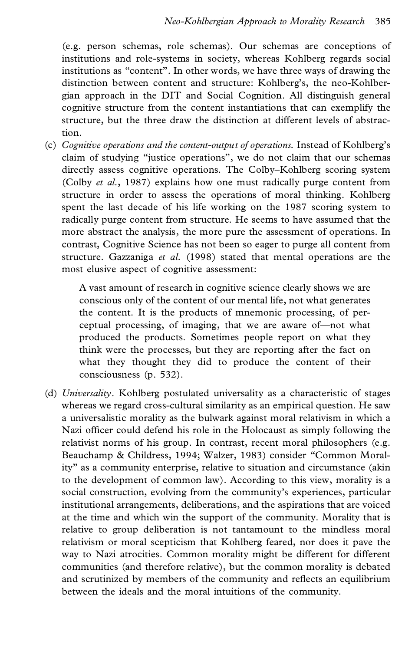(e.g. person schemas, role schemas). Our schemas are conceptions of institutions and role-systems in society, whereas Kohlberg regards social institutions as "content". In other words, we have three ways of drawing the distinction between content and structure: Kohlberg's, the neo-Kohlber gian approach in the DIT and Social Cognition. All distinguish general cognitive structure from the content instantiations that can exemplify the structure, but the three draw the distinction at different levels of abstraction.

(c) *Cognitive operations and the content-output of operations.* Instead of Kohlberg's claim of studying "justice operations", we do not claim that our schemas directly assess cognitive operations. The Colby–Kohlberg scoring system (Colby *et al.*, 1987) explains how one must radically purge content from structure in order to assess the operations of moral thinking. Kohlberg spent the last decade of his life working on the 1987 scoring system to radically purge content from structure. He seems to have assumed that the more abstract the analysis, the more pure the assessment of operations. In contrast, Cognitive Science has not been so eager to purge all content from structure. Gazzaniga *et al.* (1998) stated that mental operations are the most elusive aspect of cognitive assessment:

A vast amount of research in cognitive science clearly shows we are conscious only of the content of our mental life, not what generates the content. It is the products of mnemonic processing, of per ceptual processing, of imaging, that we are aware of—not what produced the products. Sometimes people report on what they think were the processes, but they are reporting after the fact on what they thought they did to produce the content of their consciousness (p. 532).

(d) *Universality*. Kohlberg postulated universality as a characteristic of stages whereas we regard cross-cultural similarity as an empirical question. He saw a universalistic morality as the bulwark against moral relativism in which a Nazi officer could defend his role in the Holocaust as simply following the relativist norms of his group. In contrast, recent moral philosophers (e.g. Beauchamp & Childress, 1994; Walzer, 1983) consider "Common Morality" as a community enterprise, relative to situation and circumstance (akin to the development of common law). According to this view, morality is a social construction, evolving from the community's experiences, particular institutional arrangements, deliberations, and the aspirations that are voiced at the time and which win the support of the community. Morality that is relative to group deliberation is not tantamount to the mindless moral relativism or moral scepticism that Kohlberg feared, nor does it pave the way to Nazi atrocities. Common morality might be different for different communities (and therefore relative), but the common morality is debated and scrutinized by members of the community and reflects an equilibrium between the ideals and the moral intuitions of the community.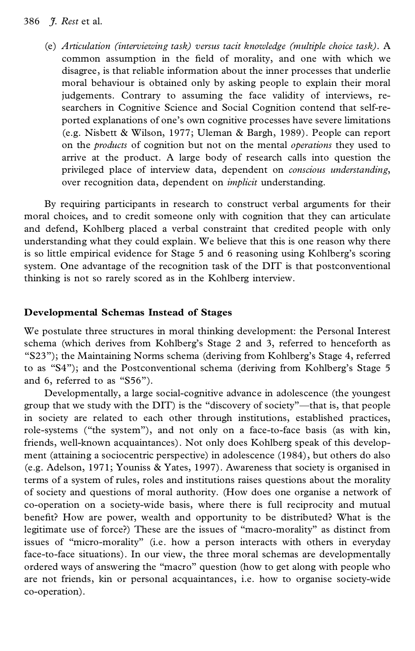#### 386 *J. Rest* et al.

(e) *Articulation (interviewing task) versus tacit knowledge (multiple choice task).* A common assumption in the field of morality, and one with which we disagree, is that reliable information about the inner processes that underlie moral behaviour is obtained only by asking people to explain their moral judgements. Contrary to assuming the face validity of interviews, researchers in Cognitive Science and Social Cognition contend that self-re ported explanations of one's own cognitive processes have severe limitations (e.g. Nisbett & Wilson, 1977; Uleman & Bargh, 1989). People can report on the *products* of cognition but not on the mental *operations* they used to arrive at the product. A large body of research calls into question the privileged place of interview data, dependent on *conscious understanding*, over recognition data, dependent on *implicit* understanding.

By requiring participants in research to construct verbal arguments for their moral choices, and to credit someone only with cognition that they can articulate and defend, Kohlberg placed a verbal constraint that credited people with only understanding what they could explain. We believe that this is one reason why there is so little empirical evidence for Stage 5 and 6 reasoning using Kohlberg's scoring system. One advantage of the recognition task of the DIT is that postconventional thinking is not so rarely scored as in the Kohlberg interview.

### **Developmental Schemas Instead of Stages**

We postulate three structures in moral thinking development: the Personal Interest schema (which derives from Kohlberg's Stage 2 and 3, referred to henceforth as "S23"); the Maintaining Norms schema (deriving from Kohlberg's Stage 4, referred to as "S4"); and the Postconventional schema (deriving from Kohlberg's Stage 5 and 6, referred to as "S56").

Developmentally, a large social-cognitive advance in adolescence (the youngest group that we study with the DIT) is the "discovery of society"—that is, that people in society are related to each other through institutions, established practices, role-systems ("the system"), and not only on a face-to-face basis (as with kin, friends, well-known acquaintances). Not only does Kohlberg speak of this develop ment (attaining a sociocentric perspective) in adolescence (1984), but others do also (e.g. Adelson, 1971; Youniss & Yates, 1997). Awareness that society is organised in terms of a system of rules, roles and institutions raises questions about the morality of society and questions of moral authority. (How does one organise a network of co-operation on a society-wide basis, where there is full reciprocity and mutual benefit? How are power, wealth and opportunity to be distributed? What is the legitimate use of force?) These are the issues of "macro-morality" as distinct from issues of "micro-morality" (i.e. how a person interacts with others in everyday face-to-face situations). In our view, the three moral schemas are developmentally ordered ways of answering the "macro" question (how to get along with people who are not friends, kin or personal acquaintances, i.e. how to organise society-wide co-operation).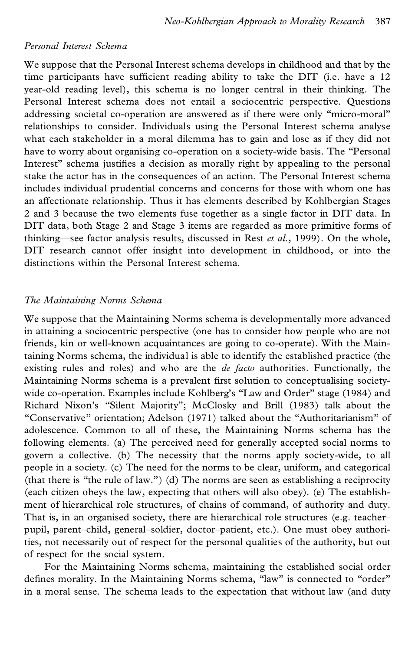#### *Personal Interest Schema*

We suppose that the Personal Interest schema develops in childhood and that by the time participants have sufficient reading ability to take the DIT (i.e. have a 12 year-old reading level), this schema is no longer central in their thinking. The Personal Interest schema does not entail a sociocentric perspective. Questions addressing societal co-operation are answered as if there were only "micro-moral" relationships to consider. Individuals using the Personal Interest schema analyse what each stakeholder in a moral dilemma has to gain and lose as if they did not have to worry about organising co-operation on a society-wide basis. The "Personal Interest" schema justifies a decision as morally right by appealing to the personal stake the actor has in the consequences of an action. The Personal Interest schema includes individual prudential concerns and concerns for those with whom one has an affectionate relationship. Thus it has elements described by Kohlbergian Stages 2 and 3 because the two elements fuse together as a single factor in DIT data. In DIT data, both Stage 2 and Stage 3 items are regarded as more primitive forms of thinking—see factor analysis results, discussed in Rest *et al.*, 1999). On the whole, DIT research cannot offer insight into development in childhood, or into the distinctions within the Personal Interest schema.

#### *The Maintaining Norms Schema*

We suppose that the Maintaining Norms schema is developmentally more advanced in attaining a sociocentric perspective (one has to consider how people who are not friends, kin or well-known acquaintances are going to co-operate). With the Maintaining Norms schema, the individual is able to identify the established practice (the existing rules and roles) and who are the *de facto* authorities. Functionally, the Maintaining Norms schema is a prevalent first solution to conceptualising societywide co-operation. Examples include Kohlberg's "Law and Order" stage (1984) and Richard Nixon's "Silent Majority"; McClosky and Brill (1983) talk about the "Conservative" orientation; Adelson (1971) talked about the "Authoritarianism" of adolescence. Common to all of these, the Maintaining Norms schema has the following elements. (a) The perceived need for generally accepted social norms to govern a collective. (b) The necessity that the norms apply society-wide, to all people in a society. (c) The need for the norms to be clear, uniform, and categorical (that there is "the rule of law.") (d) The norms are seen as establishing a reciprocity (each citizen obeys the law, expecting that others will also obey). (e) The establish ment of hierarchical role structures, of chains of command, of authority and duty. That is, in an organised society, there are hierarchical role structures (e.g. teacher– pupil, parent–child, general–soldier, doctor–patient, etc.). One must obey authorities, not necessarily out of respect for the personal qualities of the authority, but out of respect for the social system.

For the Maintaining Norms schema, maintaining the established social order defines morality. In the Maintaining Norms schema, "law" is connected to "order" in a moral sense. The schema leads to the expectation that without law (and duty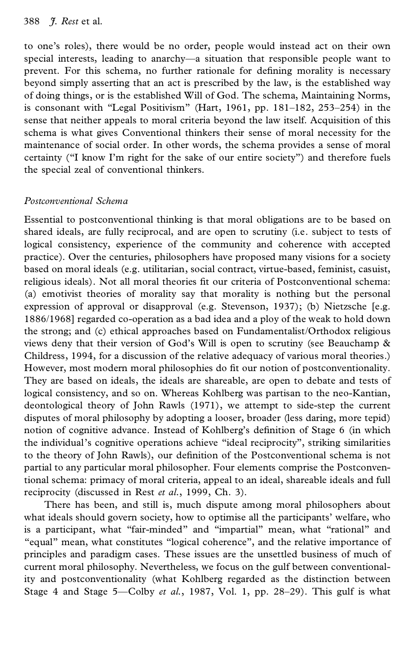to one's roles), there would be no order, people would instead act on their own special interests, leading to anarchy—a situation that responsible people want to prevent. For this schema, no further rationale for defining morality is necessary beyond simply asserting that an act is prescribed by the law, is the established way of doing things, or is the established Will of God. The schema, Maintaining Norms, is consonant with "Legal Positivism" (Hart, 1961, pp. 181–182, 253–254) in the sense that neither appeals to moral criteria beyond the law itself. Acquisition of this schema is what gives Conventional thinkers their sense of moral necessity for the maintenance of social order. In other words, the schema provides a sense of moral certainty ("I know I'm right for the sake of our entire society") and therefore fuels the special zeal of conventional thinkers.

### *Postconventional Schema*

Essential to postconventional thinking is that moral obligations are to be based on shared ideals, are fully reciprocal, and are open to scrutiny (i.e. subject to tests of logical consistency, experience of the community and coherence with accepted practice). Over the centuries, philosophers have proposed many visions for a society based on moral ideals (e.g. utilitarian, social contract, virtue-based, feminist, casuist, religious ideals). Not all moral theories fit our criteria of Postconventional schema: (a) emotivist theories of morality say that morality is nothing but the personal expression of approval or disapproval (e.g. Stevenson, 1937); (b) Nietzsche [e.g. 1886/1968] regarded co-operation as a bad idea and a ploy of the weak to hold down the strong; and (c) ethical approaches based on Fundamentalist/Orthodox religious views deny that their version of God's Will is open to scrutiny (see Beauchamp & Childress, 1994, for a discussion of the relative adequacy of various moral theories.) However, most modern moral philosophies do fit our notion of postconventionality. They are based on ideals, the ideals are shareable, are open to debate and tests of logical consistency, and so on. Whereas Kohlberg was partisan to the neo-Kantian, deontological theory of John Rawls (1971), we attempt to side-step the current disputes of moral philosophy by adopting a looser, broader (less daring, more tepid) notion of cognitive advance. Instead of Kohlberg's definition of Stage 6 (in which the individual's cognitive operations achieve "ideal reciprocity", striking similarities to the theory of John Rawls), our definition of the Postconventional schema is not partial to any particular moral philosopher. Four elements comprise the Postconventional schema: primacy of moral criteria, appeal to an ideal, shareable ideals and full reciprocity (discussed in Rest *et al.*, 1999, Ch. 3).

There has been, and still is, much dispute among moral philosophers about what ideals should govern society, how to optimise all the participants' welfare, who is a participant, what "fair-minded" and "impartial" mean, what "rational" and "equal" mean, what constitutes "logical coherence", and the relative importance of principles and paradigm cases. These issues are the unsettled business of much of current moral philosophy. Nevertheless, we focus on the gulf between conventionality and postconventionality (what Kohlberg regarded as the distinction between Stage 4 and Stage 5—Colby *et al.*, 1987, Vol. 1, pp. 28–29). This gulf is what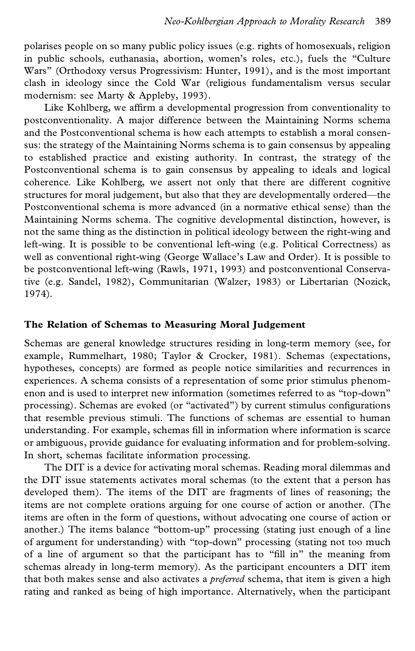polarises people on so many public policy issues (e.g. rights of homosexuals, religion in public schools, euthanasia, abortion, women's roles, etc.), fuels the "Culture Wars" (Orthodoxy versus Progressivism: Hunter, 1991), and is the most important clash in ideology since the Cold War (religious fundamentalism versus secular modernism: see Marty & Appleby, 1993).

Like Kohlberg, we affirm a developmental progression from conventionality to postconventionality. A major difference between the Maintaining Norms schema and the Postconventional schema is how each attempts to establish a moral consensus: the strategy of the Maintaining Norms schema is to gain consensus by appealing to established practice and existing authority. In contrast, the strategy of the Postconventional schema is to gain consensus by appealing to ideals and logical coherence. Like Kohlberg, we assert not only that there are different cognitive structures for moral judgement, but also that they are developmentally ordered—the Postconventional schema is more advanced (in a normative ethical sense) than the Maintaining Norms schema. The cognitive developmental distinction, however, is not the same thing as the distinction in political ideology between the right-wing and left-wing. It is possible to be conventional left-wing (e.g. Political Correctness) as well as conventional right-wing (George Wallace's Law and Order). It is possible to be postconventional left-wing (Rawls, 1971, 1993) and postconventional Conservative (e.g. Sandel, 1982), Communitarian (Walzer, 1983) or Libertarian (Nozick, 1974).

#### **The Relation of Schemas to Measuring Moral Judgement**

Schemas are general knowledge structures residing in long-term memory (see, for example, Rummelhart, 1980; Taylor & Crocker, 1981). Schemas (expectations, hypotheses, concepts) are formed as people notice similarities and recurrences in experiences. A schema consists of a representation of some prior stimulus phenom enon and is used to interpret new information (sometimes referred to as "top-down" processing). Schemas are evoked (or "activated") by current stimulus configurations that resemble previous stimuli. The functions of schemas are essential to human understanding. For example, schemas fill in information where information is scarce or ambiguous, provide guidance for evaluating information and for problem-solving. In short, schemas facilitate information processing.

The DIT is a device for activating moral schemas. Reading moral dilemmas and the DIT issue statements activates moral schemas (to the extent that a person has developed them). The items of the DIT are fragments of lines of reasoning; the items are not complete orations arguing for one course of action or another. (The items are often in the form of questions, without advocating one course of action or another.) The items balance "bottom-up" processing (stating just enough of a line of argument for understanding) with "top-down" processing (stating not too much of a line of argument so that the participant has to "fill in" the meaning from schemas already in long-term memory). As the participant encounters a DIT item that both makes sense and also activates a *preferred* schema, that item is given a high rating and ranked as being of high importance. Alternatively, when the participant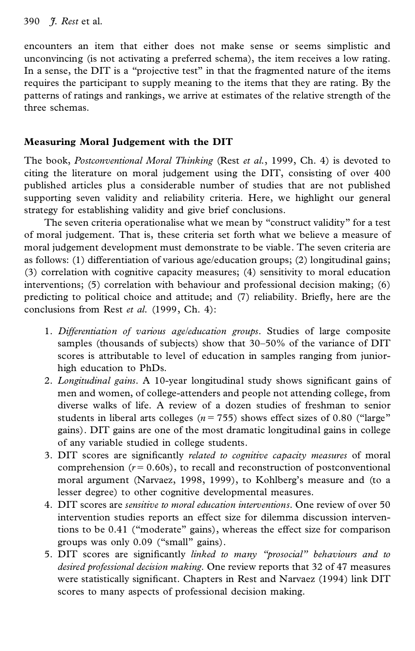encounters an item that either does not make sense or seems simplistic and unconvincing (is not activating a preferred schema), the item receives a low rating. In a sense, the DIT is a "projective test" in that the fragmented nature of the items requires the participant to supply meaning to the items that they are rating. By the patterns of ratings and rankings, we arrive at estimates of the relative strength of the three schemas.

## **Measuring Moral Judgement with the DIT**

The book, *Postconventional Moral Thinking* (Rest *et al.*, 1999, Ch. 4) is devoted to citing the literature on moral judgement using the DIT, consisting of over 400 published articles plus a considerable number of studies that are not published supporting seven validity and reliability criteria. Here, we highlight our general strategy for establishing validity and give brief conclusions.

The seven criteria operationalise what we mean by "construct validity" for a test of moral judgement. That is, these criteria set forth what we believe a measure of moral judgement development must demonstrate to be viable. The seven criteria are as follows: (1) differentiation of various age/education groups; (2) longitudinal gains; (3) correlation with cognitive capacity measures; (4) sensitivity to moral education interventions; (5) correlation with behaviour and professional decision making; (6) predicting to political choice and attitude; and (7) reliability. Briefly, here are the conclusions from Rest *et al.* (1999, Ch. 4):

- 1. *Differentiation of various age/education groups*. Studies of large composite samples (thousands of subjects) show that 30–50% of the variance of DIT scores is attributable to level of education in samples ranging from junior high education to PhDs.
- 2. *Longitudinal gains*. A 10-year longitudinal study shows significant gains of men and women, of college-attenders and people not attending college, from diverse walks of life. A review of a dozen studies of freshman to senior students in liberal arts colleges  $(n = 755)$  shows effect sizes of 0.80 ("large" gains). DIT gains are one of the most dramatic longitudinal gains in college of any variable studied in college students.
- 3. DIT scores are signi cantly *related to cognitive capacity measures* of moral comprehension  $(r=0.60s)$ , to recall and reconstruction of postconventional moral argument (Narvaez, 1998, 1999), to Kohlberg's measure and (to a lesser degree) to other cognitive developmental measures.
- 4. DIT scores are *sensitive to moral education interventions*. One review of over 50 intervention studies reports an effect size for dilemma discussion interventions to be 0.41 ("moderate" gains), whereas the effect size for comparison groups was only 0.09 ("small" gains).
- 5. DIT scores are signi cantly *linked to many "prosocial" behaviours and to desired professional decision making*. One review reports that 32 of 47 measures were statistically significant. Chapters in Rest and Narvaez (1994) link DIT scores to many aspects of professional decision making.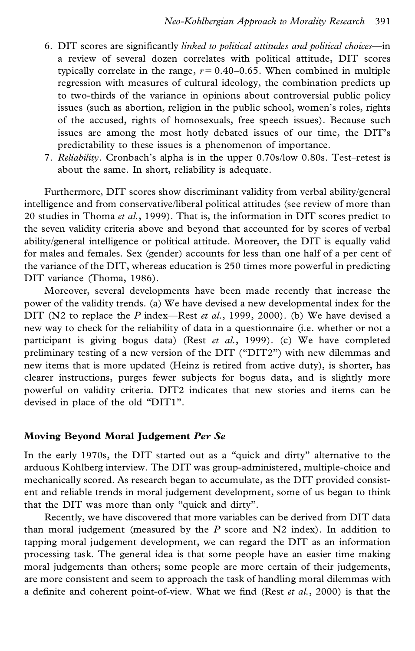- 6. DIT scores are signi cantly *linked to political attitudes and political choices*—in a review of several dozen correlates with political attitude, DIT scores typically correlate in the range,  $r = 0.40-0.65$ . When combined in multiple regression with measures of cultural ideology, the combination predicts up to two-thirds of the variance in opinions about controversial public policy issues (such as abortion, religion in the public school, women's roles, rights of the accused, rights of homosexuals, free speech issues). Because such issues are among the most hotly debated issues of our time, the DIT's predictability to these issues is a phenomenon of importance.
- 7. *Reliability*. Cronbach's alpha is in the upper 0.70s/low 0.80s. Test–retest is about the same. In short, reliability is adequate.

Furthermore, DIT scores show discriminant validity from verbal ability/general intelligence and from conservative/liberal political attitudes (see review of more than 20 studies in Thoma *et al.*, 1999). That is, the information in DIT scores predict to the seven validity criteria above and beyond that accounted for by scores of verbal ability/general intelligence or political attitude. Moreover, the DIT is equally valid for males and females. Sex (gender) accounts for less than one half of a per cent of the variance of the DIT, whereas education is 250 times more powerful in predicting DIT variance (Thoma, 1986).

Moreover, several developments have been made recently that increase the power of the validity trends. (a) We have devised a new developmental index for the DIT (N2 to replace the *P* index—Rest *et al.*, 1999, 2000). (b) We have devised a new way to check for the reliability of data in a questionnaire (i.e. whether or not a participant is giving bogus data) (Rest *et al.*, 1999). (c) We have completed preliminary testing of a new version of the DIT ("DIT2") with new dilemmas and new items that is more updated (Heinz is retired from active duty), is shorter, has clearer instructions, purges fewer subjects for bogus data, and is slightly more powerful on validity criteria. DIT2 indicates that new stories and items can be devised in place of the old "DIT1".

#### **Moving Beyond Moral Judgement** *Per Se*

In the early 1970s, the DIT started out as a "quick and dirty" alternative to the arduous Kohlberg interview. The DIT was group-administered, multiple-choice and mechanically scored. As research began to accumulate, as the DIT provided consist ent and reliable trends in moral judgement development, some of us began to think that the DIT was more than only "quick and dirty".

Recently, we have discovered that more variables can be derived from DIT data than moral judgement (measured by the *P* score and N2 index). In addition to tapping moral judgement development, we can regard the DIT as an information processing task. The general idea is that some people have an easier time making moral judgements than others; some people are more certain of their judgements, are more consistent and seem to approach the task of handling moral dilemmas with a definite and coherent point-of-view. What we find (Rest *et al.*, 2000) is that the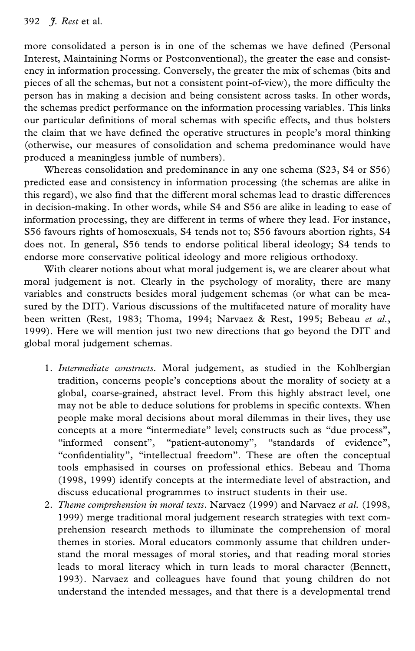more consolidated a person is in one of the schemas we have defined (Personal Interest, Maintaining Norms or Postconventional), the greater the ease and consist ency in information processing. Conversely, the greater the mix of schemas (bits and pieces of all the schemas, but not a consistent point-of-view), the more difficulty the person has in making a decision and being consistent across tasks. In other words, the schemas predict performance on the information processing variables. This links our particular definitions of moral schemas with specific effects, and thus bolsters the claim that we have defined the operative structures in people's moral thinking (otherwise, our measures of consolidation and schema predominance would have produced a meaningless jumble of numbers).

Whereas consolidation and predominance in any one schema (S23, S4 or S56) predicted ease and consistency in information processing (the schemas are alike in this regard), we also find that the different moral schemas lead to drastic differences in decision-making. In other words, while S4 and S56 are alike in leading to ease of information processing, they are different in terms of where they lead. For instance, S56 favours rights of homosexuals, S4 tends not to; S56 favours abortion rights, S4 does not. In general, S56 tends to endorse political liberal ideology; S4 tends to endorse more conservative political ideology and more religious orthodoxy.

With clearer notions about what moral judgement is, we are clearer about what moral judgement is not. Clearly in the psychology of morality, there are many variables and constructs besides moral judgement schemas (or what can be measured by the DIT). Various discussions of the multifaceted nature of morality have been written (Rest, 1983; Thoma, 1994; Narvaez & Rest, 1995; Bebeau *et al.*, 1999). Here we will mention just two new directions that go beyond the DIT and global moral judgement schemas.

- 1. *Intermediate constructs*. Moral judgement, as studied in the Kohlbergian tradition, concerns people's conceptions about the morality of society at a global, coarse-grained, abstract level. From this highly abstract level, one may not be able to deduce solutions for problems in specific contexts. When people make moral decisions about moral dilemmas in their lives, they use concepts at a more "intermediate" level; constructs such as "due process", "informed consent", "patient-autonomy", "standards of evidence", "confidentiality", "intellectual freedom". These are often the conceptual tools emphasised in courses on professional ethics. Bebeau and Thoma (1998, 1999) identify concepts at the intermediate level of abstraction, and discuss educational programmes to instruct students in their use.
- 2. *Theme comprehension in moral texts*. Narvaez (1999) and Narvaez *et al.* (1998, 1999) merge traditional moral judgement research strategies with text com prehension research methods to illuminate the comprehension of moral themes in stories. Moral educators commonly assume that children understand the moral messages of moral stories, and that reading moral stories leads to moral literacy which in turn leads to moral character (Bennett, 1993). Narvaez and colleagues have found that young children do not understand the intended messages, and that there is a developmental trend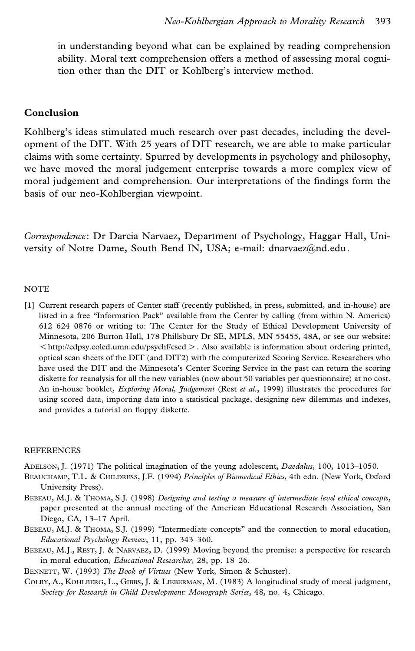in understanding beyond what can be explained by reading comprehension ability. Moral text comprehension offers a method of assessing moral cognition other than the DIT or Kohlberg's interview method.

#### **Conclusion**

Kohlberg's ideas stimulated much research over past decades, including the devel opment of the DIT. With 25 years of DIT research, we are able to make particular claims with some certainty. Spurred by developments in psychology and philosophy, we have moved the moral judgement enterprise towards a more complex view of moral judgement and comprehension. Our interpretations of the findings form the basis of our neo-Kohlbergian viewpoint.

*Correspondence*: Dr Darcia Narvaez, Department of Psychology, Haggar Hall, Uni versity of Notre Dame, South Bend IN, USA; e-mail: dnarvaez@nd.edu.

#### NOTE

[1] Current research papers of Center staff (recently published, in press, submitted, and in-house) are listed in a free "Information Pack" available from the Center by calling (from within N. America) 612 624 0876 or writing to: The Center for the Study of Ethical Development University of Minnesota, 206 Burton Hall, 178 Phillsbury Dr SE, MPLS, MN 55455, 48A, or see our website:  $\lt$ http://edpsy.coled.umn.edu/psychf/csed  $>$ . Also available is information about ordering printed, optical scan sheets of the DIT (and DIT2) with the computerized Scoring Service. Researchers who have used the DIT and the Minnesota's Center Scoring Service in the past can return the scoring diskette for reanalysis for all the new variables (now about 50 variables per questionnaire) at no cost. An in-house booklet, *Exploring Moral, Judgement* (Rest *et al.*, 1999) illustrates the procedures for using scored data, importing data into a statistical package, designing new dilemmas and indexes, and provides a tutorial on floppy diskette.

#### **REFERENCES**

ADELSON, J. (1971) The political imagination of the young adolescent, *Daedalus*, 100, 1013–1050.

- BEAUCHAMP, T.L. & CHILDRESS, J.F. (1994) *Principles of Biomedical Ethics*, 4th edn. (New York, Oxford University Press).
- BEBEAU, M.J. & THOMA, S.J. (1998) *Designing and testing a measure of intermediate level ethical concepts*, paper presented at the annual meeting of the American Educational Research Association, San Diego, CA, 13–17 April.
- BEBEAU, M.J. & THOMA, S.J. (1999) "Intermediate concepts" and the connection to moral education, *Educational Psychology Review*, 11, pp. 343–360.
- BEBEAU, M.J., REST, J. & NARVAEZ, D. (1999) Moving beyond the promise: a perspective for research in moral education, *Educational Researcher*, 28, pp. 18–26.
- BENNETT, W. (1993) *The Book of Virtues* (New York, Simon & Schuster).
- COLBY, A., KOHLBERG, L., GIBBS, J. & LIEBERMAN, M. (1983) A longitudinal study of moral judgment, *Society for Research in Child Development: Monograph Series*, 48, no. 4, Chicago.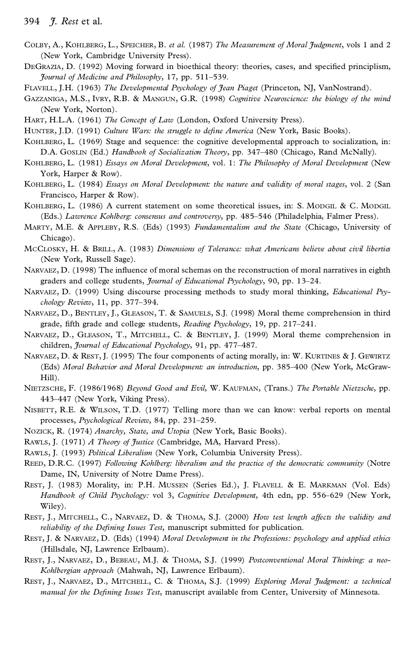- COLBY, A., KOHLBERG, L., SPEICHER, B. *et al.* (1987) *The Measurement of Moral Judgment*, vols 1 and 2 (New York, Cambridge University Press).
- DEGRAZIA, D. (1992) Moving forward in bioethical theory: theories, cases, and specified principlism, *Journal of Medicine and Philosophy*, 17, pp. 511–539.
- FLAVELL, J.H. (1963) *The Developmental Psychology of Jean Piaget* (Princeton, NJ, VanNostrand).
- GAZZANIGA, M.S., IVRY, R.B. & MANGUN, G.R. (1998) *Cognitive Neuroscience: the biology of the mind* (New York, Norton).
- HART, H.L.A. (1961) *The Concept of Law* (London, Oxford University Press).
- HUNTER, J.D. (1991) *Culture Wars: the struggle to de ne America* (New York, Basic Books).
- KOHLBERG, L. (1969) Stage and sequence: the cognitive developmental approach to socialization, in: D.A. GOSLIN (Ed.) *Handbook of Socialization Theory*, pp. 347–480 (Chicago, Rand McNally).
- KOHLBERG, L. (1981) *Essays on Moral Development*, vol. 1: *The Philosophy of Moral Development* (New York, Harper & Row).
- KOHLBERG, L. (1984) *Essays on Moral Development: the nature and validity of moral stages*, vol. 2 (San Francisco, Harper & Row).
- KOHLBERG, L. (1986) A current statement on some theoretical issues, in: S. MODGIL & C. MODGIL (Eds.) *Lawrence Kohlberg: consensus and controversy*, pp. 485–546 (Philadelphia, Falmer Press).
- MARTY, M.E. & APPLEBY, R.S. (Eds) (1993) *Fundamentalism and the State* (Chicago, University of Chicago).
- MCCLOSKY, H. & BRILL, A. (1983) *Dimensions of Tolerance: what Americans believe about civil liberties* (New York, Russell Sage).
- NARVAEZ, D. (1998) The influence of moral schemas on the reconstruction of moral narratives in eighth graders and college students, *Journal of Educational Psychology*, 90, pp. 13–24.
- NARVAEZ, D. (1999) Using discourse processing methods to study moral thinking, *Educational Psychology Review*, 11, pp. 377–394.
- NARVAEZ, D., BENTLEY, J., GLEASON, T. & SAMUELS, S.J. (1998) Moral theme comprehension in third grade, fth grade and college students, *Reading Psychology*, 19, pp. 217–241.
- NARVAEZ, D., GLEASON, T., MITCHELL, C. & BENTLEY, J. (1999) Moral theme comprehension in children, *Journal of Educational Psychology*, 91, pp. 477–487.
- NARVAEZ, D. & REST, J. (1995) The four components of acting morally, in: W. KURTINES & J. GEWIRTZ (Eds) *Moral Behavior and Moral Development: an introduction*, pp. 385–400 (New York, McGraw- Hill).
- NIETZSCHE, F. (1986/1968) *Beyond Good and Evil*, W. KAUFMAN, (Trans.) *The Portable Nietzsche*, pp. 443–447 (New York, Viking Press).
- NISBETT, R.E. & WILSON, T.D. (1977) Telling more than we can know: verbal reports on mental processes, *Psychological Review*, 84, pp. 231–259.
- NOZICK, R. (1974) *Anarchy, State, and Utopia* (New York, Basic Books).
- RAWLS, J. (1971) *A Theory of Justice* (Cambridge, MA, Harvard Press).
- RAWLS, J. (1993) *Political Liberalism* (New York, Columbia University Press).
- REED, D.R.C. (1997) *Following Kohlberg: liberalism and the practice of the democratic community* (Notre Dame, IN, University of Notre Dame Press).
- REST, J. (1983) Morality, in: P.H. MUSSEN (Series Ed.), J. FLAVELL & E. MARKMAN (Vol. Eds) *Handbook of Child Psychology:* vol 3, *Cognitive Development*, 4th edn, pp. 556–629 (New York, Wiley).
- REST, J., MITCHELL, C., NARVAEZ, D. & THOMA, S.J. (2000) *How test length affects the validity and reliability of the Defining Issues Test, manuscript submitted for publication.*
- REST, J. & NARVAEZ, D. (Eds) (1994) *Moral Development in the Professions: psychology and applied ethics* (Hillsdale, NJ, Lawrence Erlbaum).
- REST, J., NARVAEZ, D., BEBEAU, M.J. & THOMA, S.J. (1999) *Postconventional Moral Thinking: a neo- Kohlbergian approach* (Mahwah, NJ, Lawrence Erlbaum).
- REST, J., NARVAEZ, D., MITCHELL, C. & THOMA, S.J. (1999) *Exploring Moral Judgment: a technical manual for the De ning Issues Test*, manuscript available from Center, University of Minnesota.